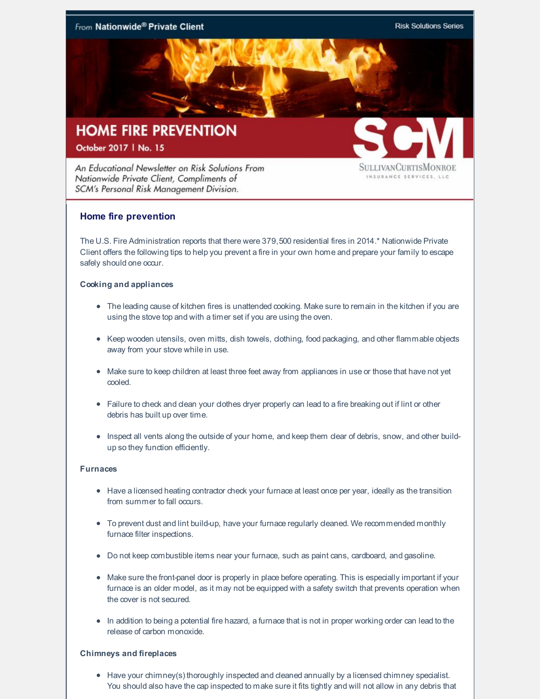

## October 2017 | No. 15

An Educational Newsletter on Risk Solutions From Nationwide Private Client, Compliments of SCM's Personal Risk Management Division.

**SULLIVANCURTISMONROE** INSURANCE SERVICES, LLC

# **Home fire prevention**

The U.S. Fire Administration reports that there were 379,500 residential fires in 2014.\* Nationwide Private Client offers the following tips to help you prevent a fire in your own home and prepare your family to escape safely should one occur.

### **Cooking and appliances**

- The leading cause of kitchen fires is unattended cooking. Make sure to remain in the kitchen if you are using the stove top and with a timer set if you are using the oven.
- Keep wooden utensils, oven mitts, dish towels, dothing, food packaging, and other flammable objects away from your stove while in use.
- Make sure to keep children at least three feet away from appliances in use or those that have not yet cooled.
- Failure to check and clean your clothes dryer properly can lead to a fire breaking out if lint or other debris has built up over time.
- Inspect all vents along the outside of your home, and keep them clear of debris, snow, and other buildup so they function efficiently.

### **Furnaces**

- Have a licensed heating contractor check your furnace at least once per year, ideally as the transition from summer to fall occurs.
- $\bullet$  To prevent dust and lint build-up, have your furnace regularly deaned. We recommended monthly furnace filter inspections.
- Do not keep combustible items near your furnace, such as paint cans, cardboard, and gasoline.
- Make sure the front-panel door is properly in place before operating. This is especially important if your furnace is an older model, as it may not be equipped with a safety switch that prevents operation when the cover is not secured.
- In addition to being a potential fire hazard, a furnace that is not in proper working order can lead to the release of carbon monoxide.

### **Chimneys and fireplaces**

• Have your chimney(s) thoroughly inspected and deaned annually by a licensed chimney specialist. You should also have the cap inspected to make sure it fits tightly and will not allow in any debris that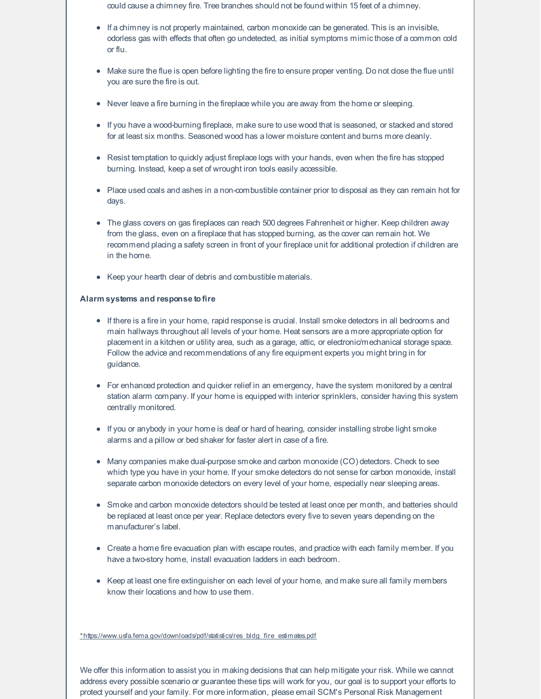could cause a chimney fire. Tree branches should not be found within 15 feet of a chimney.

- $\bullet$  If a chimney is not properly maintained, carbon monoxide can be generated. This is an invisible, odorless gas with effects that often go undetected, as initial symptoms mimicthose of a common cold or flu.
- $\bullet$  Make sure the flue is open before lighting the fire to ensure proper venting. Do not dose the flue until you are sure the fire is out.
- Never leave a fire burning in the fireplace while you are away from the home or sleeping.
- If you have a wood-burning fireplace, make sure to use wood that is seasoned, or stacked and stored for at least six months. Seasoned wood has a lower moisture content and burns more cleanly.
- Resist temptation to quickly adjust fireplace logs with your hands, even when the fire has stopped burning. Instead, keep a set of wrought iron tools easily accessible.
- Place used coals and ashes in a non-combustible container prior to disposal as they can remain hot for days.
- The glass covers on gas fireplaces can reach 500 degrees Fahrenheit or higher. Keep children away from the glass, even on a fireplace that has stopped burning, as the cover can remain hot. We recommend placing a safety screen in front of your fireplace unit for additional protection if children are in the home.
- Keep your hearth clear of debris and combustible materials.

#### **Alarm systems and response tofire**

- If there is a fire in your home, rapid response is crucial. Install smoke detectors in all bedrooms and main hallways throughout all levels of your home. Heat sensors are a more appropriate option for placement in a kitchen or utility area, such as a garage, attic, or electronic/mechanical storage space. Follow the advice and recommendations of any fire equipment experts you might bring in for guidance.
- For enhanced protection and quicker relief in an emergency, have the system monitored by a central station alarm company. If your home is equipped with interior sprinklers, consider having this system centrally monitored.
- If you or anybody in your home is deaf or hard of hearing, consider installing strobe light smoke alarms and a pillow or bed shaker for faster alert in case of a fire.
- Many companies make dual-purpose smoke and carbon monoxide (CO) detectors. Check to see which type you have in your home. If your smoke detectors do not sense for carbon monoxide, install separate carbon monoxide detectors on every level of your home, especially near sleeping areas.
- Smoke and carbon monoxide detectors should be tested at least once per month, and batteries should be replaced at least once per year. Replace detectors every five to seven years depending on the manufacturer's label.
- Create a home fire evacuation plan with escape routes, and practice with each family member. If you have a two-story home, install evacuation ladders in each bedroom.
- Keep at least one fire extinguisher on each level of your home, and make sure all family members know their locations and how to use them.

[\\*https://www.usfa.fema.gov/downloads/pdf/statistics/res\\_bldg\\_fire\\_estimates.pdf](https://www.usfa.fema.gov/downloads/pdf/statistics/res_bldg_fire_estimates.pdf)

We offer this information to assist you in making decisions that can help mitigate your risk. While we cannot address every possible scenario or guarantee these tips will work for you, our goal is to support your efforts to protect yourself and your family. For more information, please email SCM's Personal Risk Management